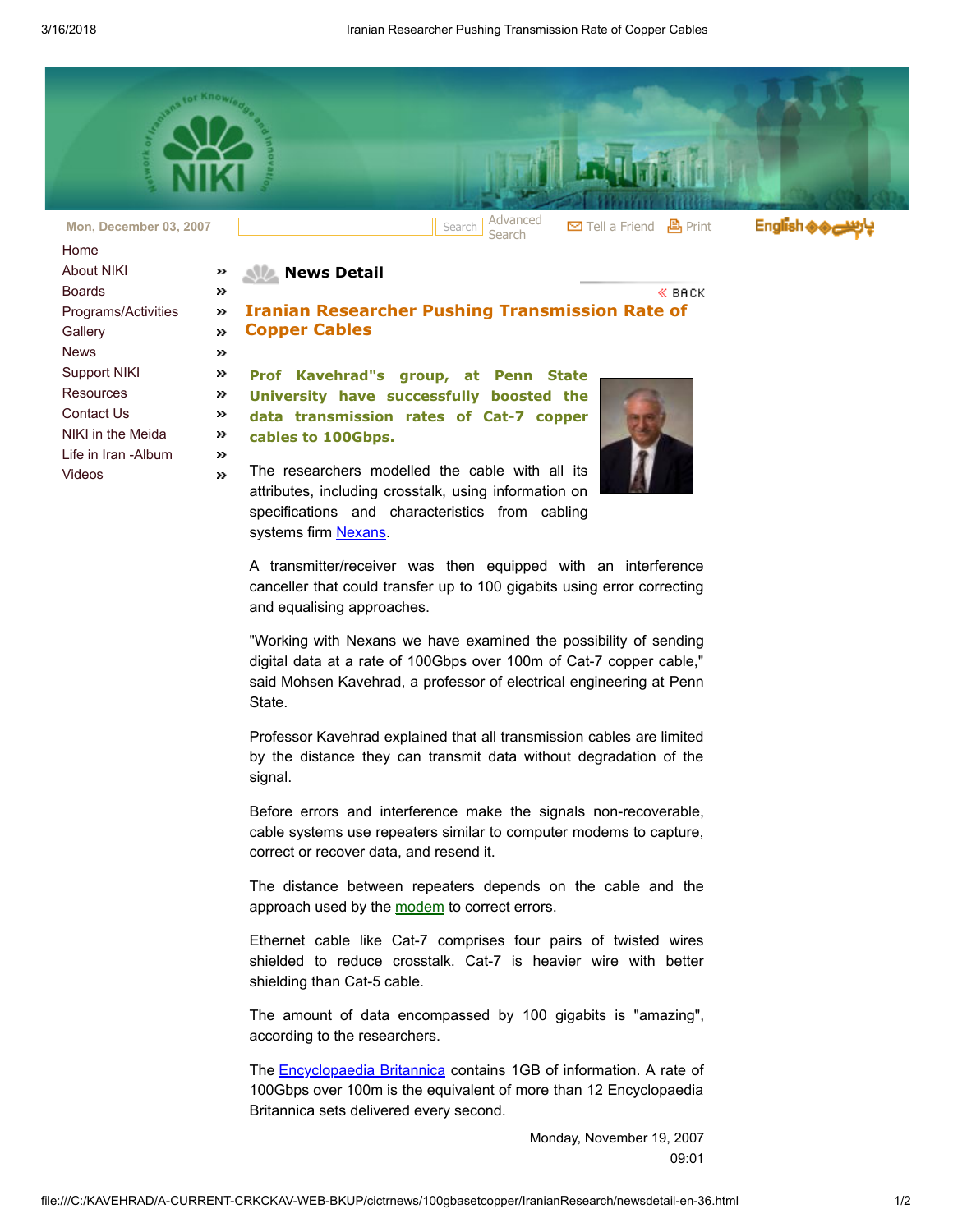

| Home                 |               |
|----------------------|---------------|
| <b>About NIKI</b>    | 55            |
| Boards               | >>            |
| Programs/Activities  | >>            |
| Gallery              | >>            |
| <b>News</b>          | >>            |
| <b>Support NIKI</b>  | 55            |
| Resources            | >>            |
| Contact Us           | 55            |
| NIKI in the Meida    | $\rightarrow$ |
| I ife in Iran -Album | 55            |
| Videos               | 33            |
|                      |               |

## **News Detail**

## Iranian Researcher Pushing Transmission Rate of Copper Cables

Prof Kavehrad"s group, at Penn State University have successfully boosted the data transmission rates of Cat-7 copper cables to 100Gbps.

The researchers modelled the cable with all its attributes, including crosstalk, using information on specifications and characteristics from cabling systems firm [Nexans.](http://www.nexans.com/)



« вяск

A transmitter/receiver was then equipped with an interference canceller that could transfer up to 100 gigabits using error correcting and equalising approaches.

"Working with Nexans we have examined the possibility of sending digital data at a rate of 100Gbps over 100m of Cat-7 copper cable," said Mohsen Kavehrad, a professor of electrical engineering at Penn State.

Professor Kavehrad explained that all transmission cables are limited by the distance they can transmit data without degradation of the signal.

Before errors and interference make the signals non-recoverable, cable systems use repeaters similar to computer modems to capture, correct or recover data, and resend it.

The distance between repeaters depends on the cable and the approach used by the [modem](http://www.vnunet.com/vnunet/news/2203516/researchers-turbo-charge-cat#) to correct errors.

Ethernet cable like Cat-7 comprises four pairs of twisted wires shielded to reduce crosstalk. Cat-7 is heavier wire with better shielding than Cat-5 cable.

The amount of data encompassed by 100 gigabits is "amazing", according to the researchers.

The **Encyclopaedia Britannica** contains 1GB of information. A rate of 100Gbps over 100m is the equivalent of more than 12 Encyclopaedia Britannica sets delivered every second.

> Monday, November 19, 2007 09:01